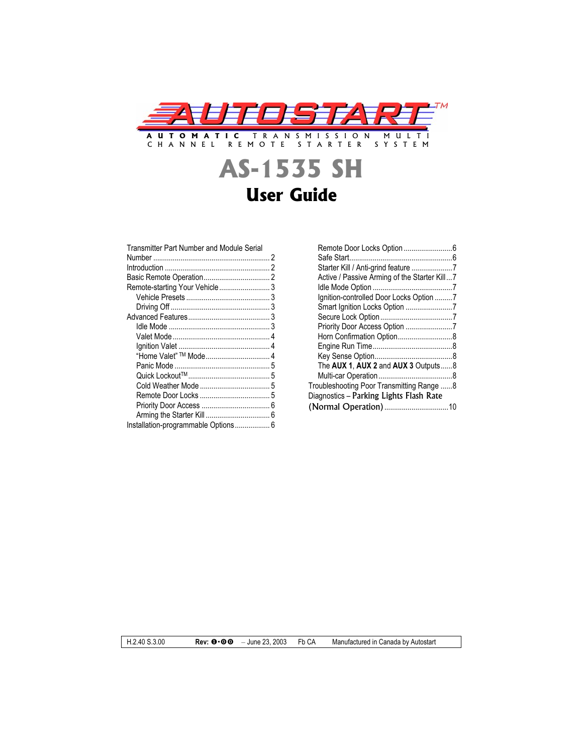

# **AS-1535 SH User Guide**

| Transmitter Part Number and Module Serial |  |
|-------------------------------------------|--|
|                                           |  |
|                                           |  |
|                                           |  |
| Remote-starting Your Vehicle 3            |  |
|                                           |  |
|                                           |  |
|                                           |  |
|                                           |  |
|                                           |  |
|                                           |  |
|                                           |  |
|                                           |  |
|                                           |  |
|                                           |  |
|                                           |  |
|                                           |  |
|                                           |  |
| Installation-programmable Options 6       |  |
|                                           |  |

| Active / Passive Arming of the Starter Kill7 |  |
|----------------------------------------------|--|
|                                              |  |
| Ignition-controlled Door Locks Option 7      |  |
|                                              |  |
|                                              |  |
| Priority Door Access Option 7                |  |
| Horn Confirmation Option8                    |  |
|                                              |  |
|                                              |  |
| The AUX 1, AUX 2 and AUX 3 Outputs8          |  |
|                                              |  |
| Troubleshooting Poor Transmitting Range 8    |  |
| Diagnostics – Parking Lights Flash Rate      |  |
|                                              |  |
|                                              |  |

H.2.40 S.3.00 **Rev: 0.00** - June 23, 2003 Fb CA Manufactured in Canada by Autostart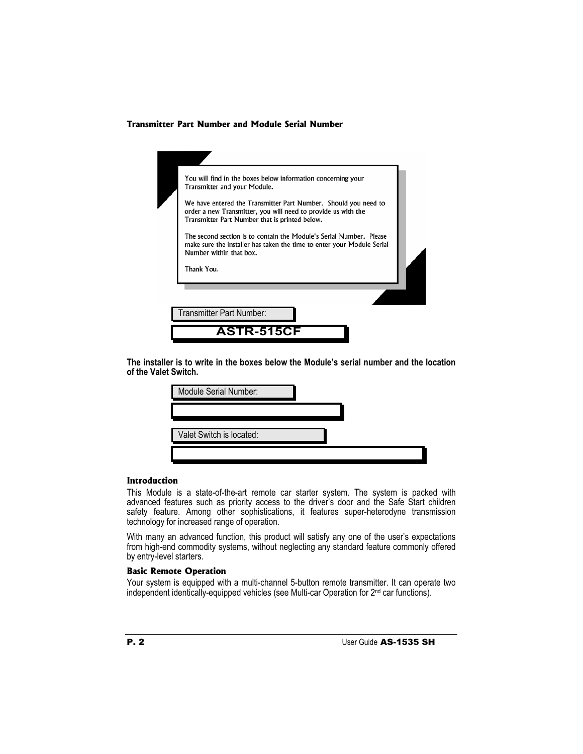# **Transmitter Part Number and Module Serial Number**

| Transmitter Part Number that is printed below.<br>The second section is to contain the Module's Serial Number. Please |  |
|-----------------------------------------------------------------------------------------------------------------------|--|
| make sure the installer has taken the time to enter your Module Serial<br>Number within that box.<br>Thank You.       |  |

**The installer is to write in the boxes below the Module's serial number and the location of the Valet Switch.**

| Module Serial Number:    |  |
|--------------------------|--|
|                          |  |
| Valet Switch is located: |  |
|                          |  |

## **Introduction**

This Module is a state-of-the-art remote car starter system. The system is packed with advanced features such as priority access to the driver's door and the Safe Start children safety feature. Among other sophistications, it features super-heterodyne transmission technology for increased range of operation.

With many an advanced function, this product will satisfy any one of the user's expectations from high-end commodity systems, without neglecting any standard feature commonly offered by entry-level starters.

# **Basic Remote Operation**

Your system is equipped with a multi-channel 5-button remote transmitter. It can operate two independent identically-equipped vehicles (see Multi-car Operation for 2nd car functions).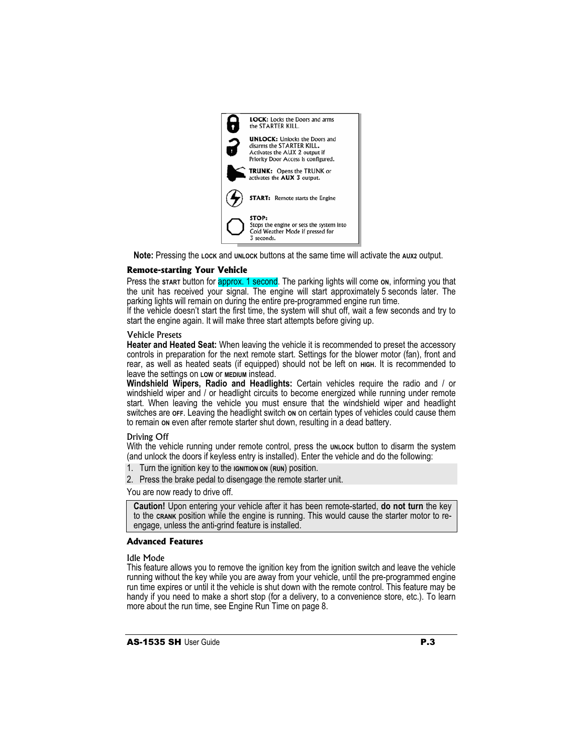

**Note:** Pressing the Lock and **UNLOCK** buttons at the same time will activate the AUX2 output.

## **Remote-starting Your Vehicle**

Press the s<del>tart button for approx. 1 second</del>. The parking lights will come on, informing you that the unit has received your signal. The engine will start approximately 5 seconds later. The parking lights will remain on during the entire pre-programmed engine run time.

If the vehicle doesn't start the first time, the system will shut off, wait a few seconds and try to start the engine again. It will make three start attempts before giving up.

#### Vehicle Presets

**Heater and Heated Seat:** When leaving the vehicle it is recommended to preset the accessory controls in preparation for the next remote start. Settings for the blower motor (fan), front and rear, as well as heated seats (if equipped) should not be left on **HIGH**. It is recommended to leave the settings on **LOW** or **MEDIUM** instead.

**Windshield Wipers, Radio and Headlights:** Certain vehicles require the radio and / or windshield wiper and / or headlight circuits to become energized while running under remote start. When leaving the vehicle you must ensure that the windshield wiper and headlight switches are orr. Leaving the headlight switch on on certain types of vehicles could cause them to remain **ON** even after remote starter shut down, resulting in a dead battery.

#### Driving Off

With the vehicle running under remote control, press the **UNLOCK** button to disarm the system (and unlock the doors if keyless entry is installed). Enter the vehicle and do the following:

- 1. Turn the ignition key to the **IGNITION ON** (**RUN**) position.
- 2. Press the brake pedal to disengage the remote starter unit.

You are now ready to drive off.

**Caution!** Upon entering your vehicle after it has been remote-started, **do not turn** the key to the **CRANK** position while the engine is running. This would cause the starter motor to reengage, unless the anti-grind feature is installed.

# **Advanced Features**

#### Idle Mode

This feature allows you to remove the ignition key from the ignition switch and leave the vehicle running without the key while you are away from your vehicle, until the pre-programmed engine run time expires or until it the vehicle is shut down with the remote control. This feature may be handy if you need to make a short stop (for a delivery, to a convenience store, etc.). To learn more about the run time, see Engine Run Time on page 8.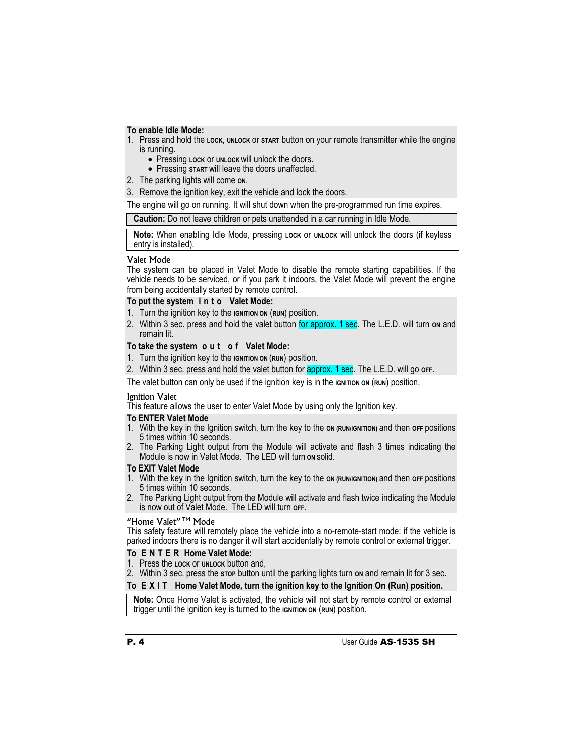# **To enable Idle Mode:**

- 1. Press and hold the **LOCK**, **UNLOCK** or **START** button on your remote transmitter while the engine is running.
	- **Pressing LOCK OF UNLOCK Will unlock the doors.**
	- **Pressing start will leave the doors unaffected.**
- 2. The parking lights will come **ON**.
- 3. Remove the ignition key, exit the vehicle and lock the doors.

The engine will go on running. It will shut down when the pre-programmed run time expires.

|  | Caution: Do not leave children or pets unattended in a car running in Idle Mode. |  |
|--|----------------------------------------------------------------------------------|--|
|--|----------------------------------------------------------------------------------|--|

Note: When enabling Idle Mode, pressing Lock or **UNLOCK** will unlock the doors (if keyless entry is installed).

## Valet Mode

The system can be placed in Valet Mode to disable the remote starting capabilities. If the vehicle needs to be serviced, or if you park it indoors, the Valet Mode will prevent the engine from being accidentally started by remote control.

# **To put the system i n t o Valet Mode:**

- 1. Turn the ignition key to the **IGNITION ON** (**RUN**) position.
- 2. Within 3 sec. press and hold the valet button for approx. 1 sec. The L.E.D. will turn on and remain lit.

# **To take the system o u t o f Valet Mode:**

- 1. Turn the ignition key to the **IGNITION ON** (**RUN**) position.
- 2. Within 3 sec. press and hold the valet button for approx. 1 sec. The L.E.D. will go **OFF**.

The valet button can only be used if the ignition key is in the **IGNITION** ON (RUN) position.

# Ignition Valet

This feature allows the user to enter Valet Mode by using only the Ignition key.

# **To ENTER Valet Mode**

- 1. With the key in the Ignition switch, turn the key to the **ON (RUN/IGNITION)** and then **OFF** positions 5 times within 10 seconds.
- 2. The Parking Light output from the Module will activate and flash 3 times indicating the Module is now in Valet Mode. The LED will turn **ON** solid.

# **To EXIT Valet Mode**

- 1. With the key in the Ignition switch, turn the key to the **ON (RUN/IGNITION)** and then **OFF** positions 5 times within 10 seconds.
- 2. The Parking Light output from the Module will activate and flash twice indicating the Module is now out of Valet Mode. The LED will turn **OFF**.

# "Home Valet"<sup>™</sup> Mode

This safety feature will remotely place the vehicle into a no-remote-start mode: if the vehicle is parked indoors there is no danger it will start accidentally by remote control or external trigger.

# **To E N T E R Home Valet Mode:**

- 1. Press the **LOCK** or **UNLOCK** button and,
- 2. Within 3 sec. press the stop button until the parking lights turn on and remain lit for 3 sec.

# **To E X I T Home Valet Mode, turn the ignition key to the Ignition On (Run) position.**

**Note:** Once Home Valet is activated, the vehicle will not start by remote control or external trigger until the ignition key is turned to the **IGNITION** ON (RUN) position.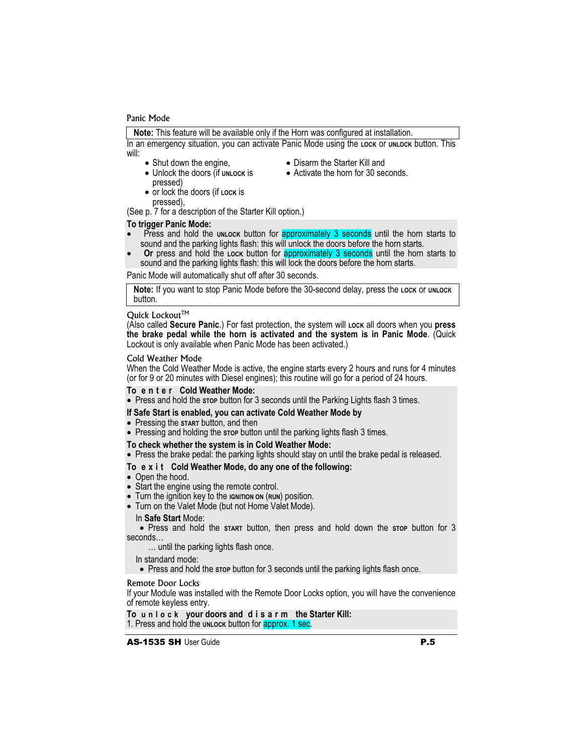#### Panic Mode

**Note:** This feature will be available only if the Horn was configured at installation.

In an emergency situation, you can activate Panic Mode using the **LOCK** or **UNLOCK** button. This will:

- $\bullet$  Shut down the engine,
- Disarm the Starter Kill and • Activate the horn for 30 seconds.
- Unlock the doors (if **UNLOCK** is pressed)
- x or lock the doors (if **LOCK** is
- pressed),

(See p. 7 for a description of the Starter Kill option.)

#### **To trigger Panic Mode:**

- Press and hold the **UNLOCK** button for approximately 3 seconds until the horn starts to sound and the parking lights flash: this will unlock the doors before the horn starts.
- **Or** press and hold the **LOCK** button for approximately 3 seconds until the horn starts to sound and the parking lights flash: this will lock the doors before the horn starts.

Panic Mode will automatically shut off after 30 seconds.

**Note:** If you want to stop Panic Mode before the 30-second delay, press the LOCK Or UNLOCK button.

#### Quick Lockout™

(Also called **Secure Panic**.) For fast protection, the system will **LOCK** all doors when you **press the brake pedal while the horn is activated and the system is in Panic Mode**. (Quick Lockout is only available when Panic Mode has been activated.)

#### Cold Weather Mode

When the Cold Weather Mode is active, the engine starts every 2 hours and runs for 4 minutes (or for 9 or 20 minutes with Diesel engines); this routine will go for a period of 24 hours.

#### **To e n t e r Cold Weather Mode:**

• Press and hold the stop button for 3 seconds until the Parking Lights flash 3 times.

#### **If Safe Start is enabled, you can activate Cold Weather Mode by**

- Pressing the **START** button, and then
- Pressing and holding the stop button until the parking lights flash 3 times.

#### **To check whether the system is in Cold Weather Mode:**

• Press the brake pedal: the parking lights should stay on until the brake pedal is released.

#### **To e x i t Cold Weather Mode, do any one of the following:**

- Open the hood.
- Start the engine using the remote control.
- Turn the ignition key to the **IGNITION** ON (RUN) position.
- Turn on the Valet Mode (but not Home Valet Mode).

# In **Safe Start** Mode:

x Press and hold the **START** button, then press and hold down the **STOP** button for 3 seconds…

… until the parking lights flash once.

In standard mode:

• Press and hold the stop button for 3 seconds until the parking lights flash once.

#### Remote Door Locks

If your Module was installed with the Remote Door Locks option, you will have the convenience of remote keyless entry.

**To unlock your doors and d i sarm the Starter Kill:**  1. Press and hold the **UNLOCK** button for approx. 1 sec.

AS-1535 SH User Guide P.5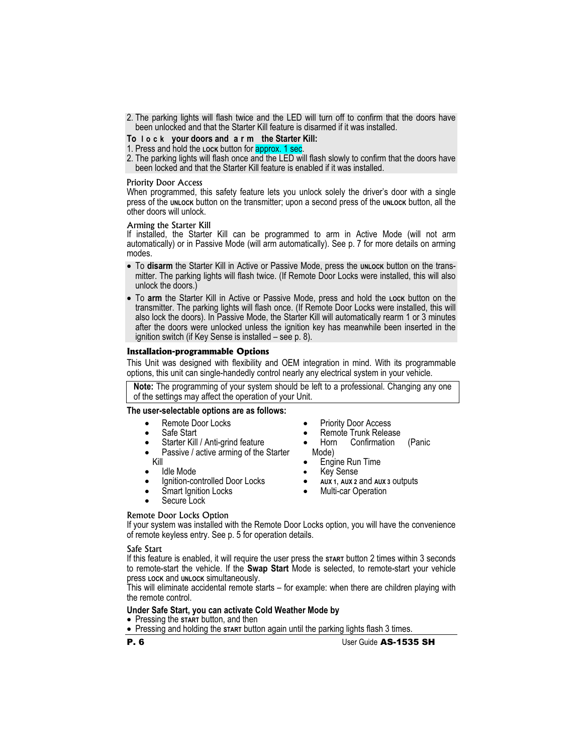- 2. The parking lights will flash twice and the LED will turn off to confirm that the doors have been unlocked and that the Starter Kill feature is disarmed if it was installed.
- **To lock your doors and a r m the Starter Kill:**
- 1. Press and hold the **LOCK** button for approx. 1 sec.
- 2. The parking lights will flash once and the LED will flash slowly to confirm that the doors have been locked and that the Starter Kill feature is enabled if it was installed.

#### Priority Door Access

When programmed, this safety feature lets you unlock solely the driver's door with a single press of the **UNLOCK** button on the transmitter; upon a second press of the **UNLOCK** button, all the other doors will unlock.

#### Arming the Starter Kill

If installed, the Starter Kill can be programmed to arm in Active Mode (will not arm automatically) or in Passive Mode (will arm automatically). See p. 7 for more details on arming modes.

- To disarm the Starter Kill in Active or Passive Mode, press the **UNLOCK** button on the transmitter. The parking lights will flash twice. (If Remote Door Locks were installed, this will also unlock the doors.)
- x To **arm** the Starter Kill in Active or Passive Mode, press and hold the **LOCK** button on the transmitter. The parking lights will flash once. (If Remote Door Locks were installed, this will also lock the doors). In Passive Mode, the Starter Kill will automatically rearm 1 or 3 minutes after the doors were unlocked unless the ignition key has meanwhile been inserted in the ignition switch (if Key Sense is installed – see p. 8).

#### **Installation-programmable Options**

This Unit was designed with flexibility and OEM integration in mind. With its programmable options, this unit can single-handedly control nearly any electrical system in your vehicle.

**Note:** The programming of your system should be left to a professional. Changing any one of the settings may affect the operation of your Unit.

# **The user-selectable options are as follows:**

- Remote Door Locks
- Safe Start
- Starter Kill / Anti-grind feature
- Passive / active arming of the Starter Kill
- Idle Mode
- Ignition-controlled Door Locks
- Smart Ignition Locks
- Secure Lock
- Priority Door Access
- Remote Trunk Release<br>• Horn Confirmation
- Confirmation (Panic Mode)
- Engine Run Time
- x Key Sense
- x **AUX 1**, **AUX 2** and **AUX 3** outputs
- Multi-car Operation

#### Remote Door Locks Option

If your system was installed with the Remote Door Locks option, you will have the convenience of remote keyless entry. See p. 5 for operation details.

#### Safe Start

If this feature is enabled, it will require the user press the **START** button 2 times within 3 seconds to remote-start the vehicle. If the **Swap Start** Mode is selected, to remote-start your vehicle press **LOCK** and **UNLOCK** simultaneously.

This will eliminate accidental remote starts – for example: when there are children playing with the remote control.

#### **Under Safe Start, you can activate Cold Weather Mode by**

- Pressing the **START** button, and then
- Pressing and holding the start button again until the parking lights flash 3 times.
- 

P. 6 User Guide AS-1535 SH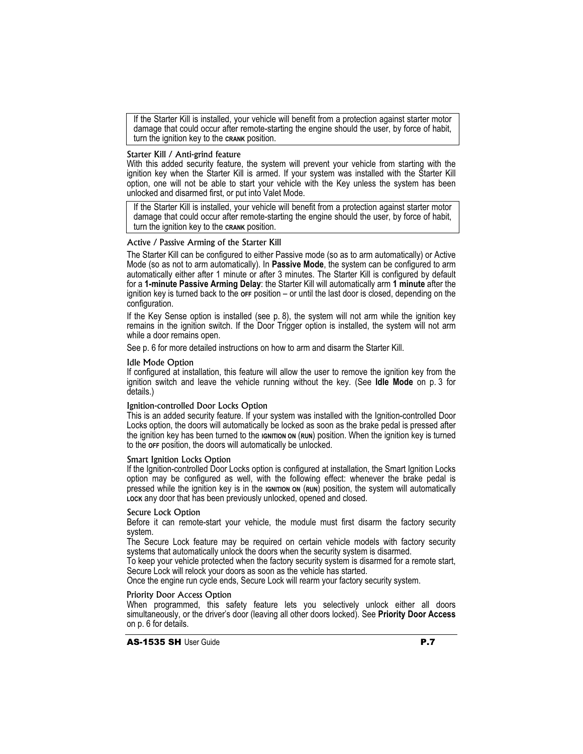If the Starter Kill is installed, your vehicle will benefit from a protection against starter motor damage that could occur after remote-starting the engine should the user, by force of habit, turn the ignition key to the **CRANK** position.

#### Starter Kill / Anti-grind feature

With this added security feature, the system will prevent your vehicle from starting with the ignition key when the Starter Kill is armed. If your system was installed with the Starter Kill option, one will not be able to start your vehicle with the Key unless the system has been unlocked and disarmed first, or put into Valet Mode.

If the Starter Kill is installed, your vehicle will benefit from a protection against starter motor damage that could occur after remote-starting the engine should the user, by force of habit, turn the ignition key to the **CRANK** position.

## Active / Passive Arming of the Starter Kill

The Starter Kill can be configured to either Passive mode (so as to arm automatically) or Active Mode (so as not to arm automatically). In **Passive Mode**, the system can be configured to arm automatically either after 1 minute or after 3 minutes. The Starter Kill is configured by default for a **1-minute Passive Arming Delay**: the Starter Kill will automatically arm **1 minute** after the ignition key is turned back to the **OFF** position – or until the last door is closed, depending on the configuration.

If the Key Sense option is installed (see p. 8), the system will not arm while the ignition key remains in the ignition switch. If the Door Trigger option is installed, the system will not arm while a door remains open.

See p. 6 for more detailed instructions on how to arm and disarm the Starter Kill.

## Idle Mode Option

If configured at installation, this feature will allow the user to remove the ignition key from the ignition switch and leave the vehicle running without the key. (See **Idle Mode** on p. 3 for details.)

## Ignition-controlled Door Locks Option

This is an added security feature. If your system was installed with the Ignition-controlled Door Locks option, the doors will automatically be locked as soon as the brake pedal is pressed after the ignition key has been turned to the **IGNITION ON** (RUN) position. When the ignition key is turned to the **OFF** position, the doors will automatically be unlocked.

#### Smart Ignition Locks Option

If the Ignition-controlled Door Locks option is configured at installation, the Smart Ignition Locks option may be configured as well, with the following effect: whenever the brake pedal is pressed while the ignition key is in the **IGNITION ON** (RUN) position, the system will automatically **LOCK** any door that has been previously unlocked, opened and closed.

## Secure Lock Option

Before it can remote-start your vehicle, the module must first disarm the factory security system.

The Secure Lock feature may be required on certain vehicle models with factory security systems that automatically unlock the doors when the security system is disarmed.

To keep your vehicle protected when the factory security system is disarmed for a remote start, Secure Lock will relock your doors as soon as the vehicle has started.

Once the engine run cycle ends, Secure Lock will rearm your factory security system.

## Priority Door Access Option

When programmed, this safety feature lets you selectively unlock either all doors simultaneously, or the driver's door (leaving all other doors locked). See **Priority Door Access** on p. 6 for details.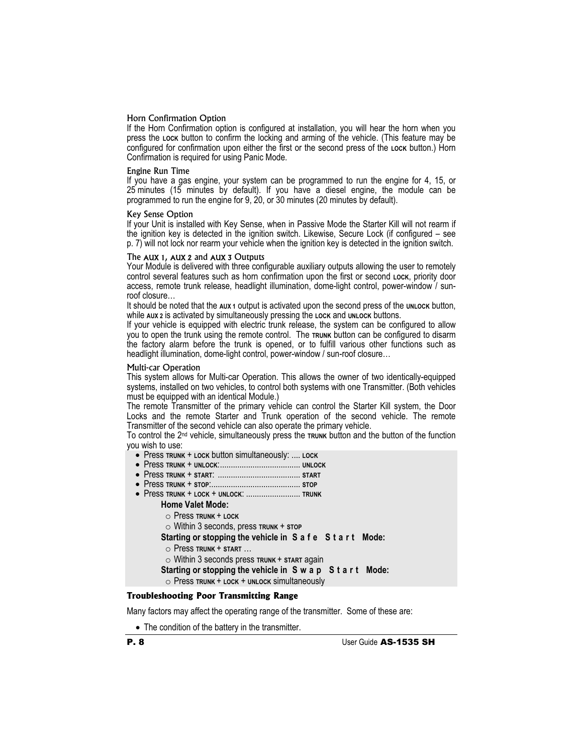### Horn Confirmation Option

If the Horn Confirmation option is configured at installation, you will hear the horn when you press the **LOCK** button to confirm the locking and arming of the vehicle. (This feature may be configured for confirmation upon either the first or the second press of the Lock button.) Horn Confirmation is required for using Panic Mode.

#### Engine Run Time

If you have a gas engine, your system can be programmed to run the engine for 4, 15, or 25 minutes (15 minutes by default). If you have a diesel engine, the module can be programmed to run the engine for 9, 20, or 30 minutes (20 minutes by default).

#### Key Sense Option

If your Unit is installed with Key Sense, when in Passive Mode the Starter Kill will not rearm if the ignition key is detected in the ignition switch. Likewise, Secure Lock (if configured – see p. 7) will not lock nor rearm your vehicle when the ignition key is detected in the ignition switch.

#### The AUX 1, AUX 2 and AUX 3 Outputs

Your Module is delivered with three configurable auxiliary outputs allowing the user to remotely control several features such as horn confirmation upon the first or second **LOCK**, priority door access, remote trunk release, headlight illumination, dome-light control, power-window / sunroof closure…

It should be noted that the AUX 1 output is activated upon the second press of the UNLOCK button, while **AUX 2** is activated by simultaneously pressing the **LOCK** and **UNLOCK** buttons.

If your vehicle is equipped with electric trunk release, the system can be configured to allow you to open the trunk using the remote control. The **TRUNK** button can be configured to disarm the factory alarm before the trunk is opened, or to fulfill various other functions such as headlight illumination, dome-light control, power-window / sun-roof closure…

#### Multi-car Operation

This system allows for Multi-car Operation. This allows the owner of two identically-equipped systems, installed on two vehicles, to control both systems with one Transmitter. (Both vehicles must be equipped with an identical Module.)

The remote Transmitter of the primary vehicle can control the Starter Kill system, the Door Locks and the remote Starter and Trunk operation of the second vehicle. The remote Transmitter of the second vehicle can also operate the primary vehicle.

To control the 2<sup>nd</sup> vehicle, simultaneously press the **TRUNK** button and the button of the function you wish to use:

- x Press **TRUNK** + **LOCK** button simultaneously: .... **LOCK**
- x Press **TRUNK** + **UNLOCK**:..................................... **UNLOCK**
- x Press **TRUNK** + **START**: ...................................... **START**
- x Press **TRUNK** + **STOP**:......................................... **STOP**
- x Press **TRUNK** + **LOCK** + **UNLOCK**: ......................... **TRUNK Home Valet Mode:**
	- o Press **TRUNK** + **LOCK**
	- o Within 3 seconds, press **TRUNK** + **STOP**
	- **Starting or stopping the vehicle in S a f e S t a r t Mode:**
	- o Press **TRUNK** + **START** …
	- o Within 3 seconds press **TRUNK** + **START** again
	- **Starting or stopping the vehicle in S w a p S t a r t Mode:**
	- o Press **TRUNK** + **LOCK** + **UNLOCK** simultaneously

# **Troubleshooting Poor Transmitting Range**

Many factors may affect the operating range of the transmitter. Some of these are:

• The condition of the battery in the transmitter.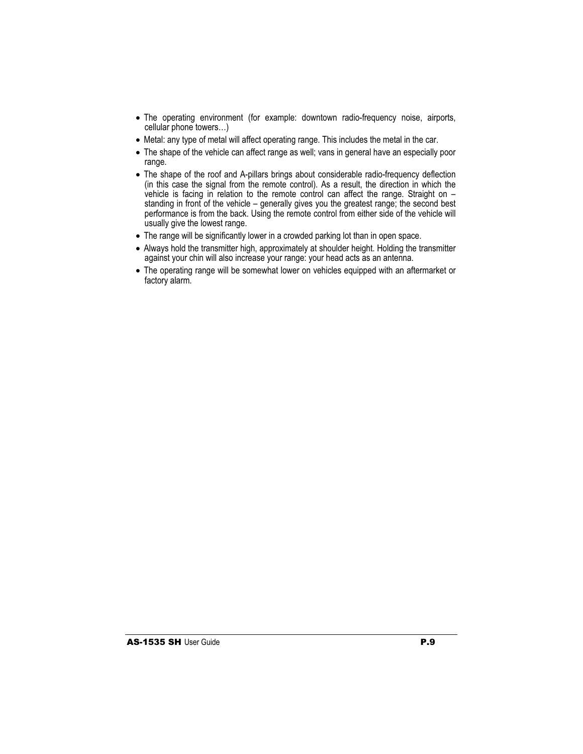- The operating environment (for example: downtown radio-frequency noise, airports, cellular phone towers…)
- Metal: any type of metal will affect operating range. This includes the metal in the car.
- The shape of the vehicle can affect range as well; vans in general have an especially poor range.
- The shape of the roof and A-pillars brings about considerable radio-frequency deflection (in this case the signal from the remote control). As a result, the direction in which the vehicle is facing in relation to the remote control can affect the range. Straight on – standing in front of the vehicle – generally gives you the greatest range; the second best performance is from the back. Using the remote control from either side of the vehicle will usually give the lowest range.
- The range will be significantly lower in a crowded parking lot than in open space.
- Always hold the transmitter high, approximately at shoulder height. Holding the transmitter against your chin will also increase your range: your head acts as an antenna.
- The operating range will be somewhat lower on vehicles equipped with an aftermarket or factory alarm.